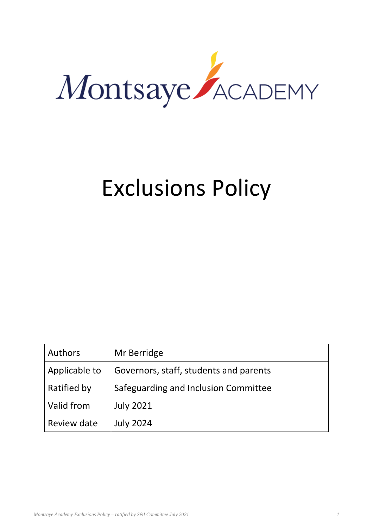

# Exclusions Policy

| Authors       | Mr Berridge                            |
|---------------|----------------------------------------|
| Applicable to | Governors, staff, students and parents |
| Ratified by   | Safeguarding and Inclusion Committee   |
| Valid from    | <b>July 2021</b>                       |
| Review date   | <b>July 2024</b>                       |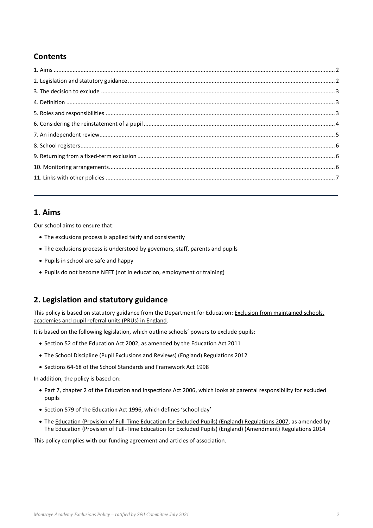# **Contents**

# **1. Aims**

Our school aims to ensure that:

- The exclusions process is applied fairly and consistently
- The exclusions process is understood by governors, staff, parents and pupils
- Pupils in school are safe and happy
- Pupils do not become NEET (not in education, employment or training)

# **2. Legislation and statutory guidance**

This policy is based on statutory guidance from the Department for Education: [Exclusion from maintained schools,](https://www.gov.uk/government/publications/school-exclusion)  [academies and pupil referral units \(PRUs\) in England.](https://www.gov.uk/government/publications/school-exclusion)

It is based on the following legislation, which outline schools' powers to exclude pupils:

- Section 52 of the [Education Act 2002,](http://www.legislation.gov.uk/ukpga/2002/32/section/52) as amended by the [Education Act 2011](http://www.legislation.gov.uk/ukpga/2011/21/contents/enacted)
- [The School Discipline \(Pupil Exclusions and Reviews\) \(England\) Regulations 2012](http://www.legislation.gov.uk/uksi/2012/1033/made)
- Sections 64-68 of the [School Standards and Framework Act 1998](http://www.legislation.gov.uk/ukpga/1998/31)

In addition, the policy is based on:

- Part 7, chapter 2 of the [Education and Inspections Act 2006,](http://www.legislation.gov.uk/ukpga/2006/40/part/7/chapter/2) which looks at parental responsibility for excluded pupils
- Section 579 of the [Education Act 1996](http://www.legislation.gov.uk/ukpga/1996/56/section/579), which defines 'school day'
- The [Education \(Provision of Full-Time Education for Excluded Pupils\) \(England\) Regulations 2007,](http://www.legislation.gov.uk/uksi/2007/1870/contents/made) as amended by [The Education \(Provision of Full-Time Education for Excluded Pupils\) \(England\) \(Amendment\) Regulations 2014](http://www.legislation.gov.uk/uksi/2014/3216/contents/made)

This policy complies with our funding agreement and articles of association.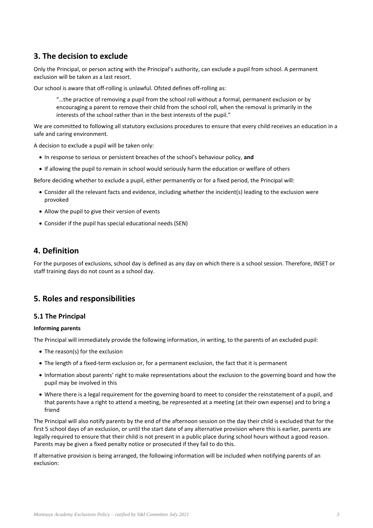# **3. The decision to exclude**

Only the Principal, or person acting with the Principal's authority, can exclude a pupil from school. A permanent exclusion will be taken as a last resort.

Our school is aware that off-rolling is unlawful. Ofsted defines off-rolling as:

"…the practice of removing a pupil from the school roll without a formal, permanent exclusion or by encouraging a parent to remove their child from the school roll, when the removal is primarily in the interests of the school rather than in the best interests of the pupil."

We are committed to following all statutory exclusions procedures to ensure that every child receives an education in a safe and caring environment.

A decision to exclude a pupil will be taken only:

- In response to serious or persistent breaches of the school's behaviour policy, **and**
- If allowing the pupil to remain in school would seriously harm the education or welfare of others

Before deciding whether to exclude a pupil, either permanently or for a fixed period, the Principal will:

- Consider all the relevant facts and evidence, including whether the incident(s) leading to the exclusion were provoked
- Allow the pupil to give their version of events
- Consider if the pupil has special educational needs (SEN)

## **4. Definition**

For the purposes of exclusions, school day is defined as any day on which there is a school session. Therefore, INSET or staff training days do not count as a school day.

# **5. Roles and responsibilities**

#### **5.1 The Principal**

#### **Informing parents**

The Principal will immediately provide the following information, in writing, to the parents of an excluded pupil:

- The reason(s) for the exclusion
- The length of a fixed-term exclusion or, for a permanent exclusion, the fact that it is permanent
- Information about parents' right to make representations about the exclusion to the governing board and how the pupil may be involved in this
- Where there is a legal requirement for the governing board to meet to consider the reinstatement of a pupil, and that parents have a right to attend a meeting, be represented at a meeting (at their own expense) and to bring a friend

The Principal will also notify parents by the end of the afternoon session on the day their child is excluded that for the first 5 school days of an exclusion, or until the start date of any alternative provision where this is earlier, parents are legally required to ensure that their child is not present in a public place during school hours without a good reason. Parents may be given a fixed penalty notice or prosecuted if they fail to do this.

If alternative provision is being arranged, the following information will be included when notifying parents of an exclusion: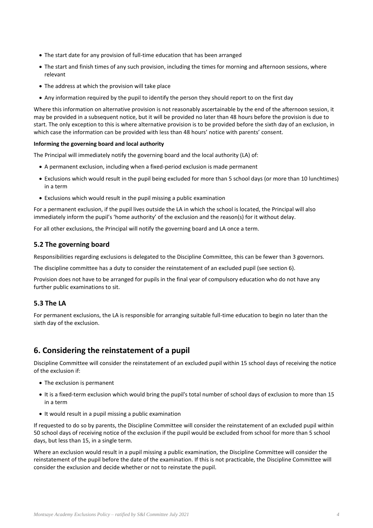- The start date for any provision of full-time education that has been arranged
- The start and finish times of any such provision, including the times for morning and afternoon sessions, where relevant
- The address at which the provision will take place
- Any information required by the pupil to identify the person they should report to on the first day

Where this information on alternative provision is not reasonably ascertainable by the end of the afternoon session, it may be provided in a subsequent notice, but it will be provided no later than 48 hours before the provision is due to start. The only exception to this is where alternative provision is to be provided before the sixth day of an exclusion, in which case the information can be provided with less than 48 hours' notice with parents' consent.

#### **Informing the governing board and local authority**

The Principal will immediately notify the governing board and the local authority (LA) of:

- A permanent exclusion, including when a fixed-period exclusion is made permanent
- Exclusions which would result in the pupil being excluded for more than 5 school days (or more than 10 lunchtimes) in a term
- Exclusions which would result in the pupil missing a public examination

For a permanent exclusion, if the pupil lives outside the LA in which the school is located, the Principal will also immediately inform the pupil's 'home authority' of the exclusion and the reason(s) for it without delay.

For all other exclusions, the Principal will notify the governing board and LA once a term.

#### **5.2 The governing board**

Responsibilities regarding exclusions is delegated to the Discipline Committee, this can be fewer than 3 governors.

The discipline committee has a duty to consider the reinstatement of an excluded pupil (see section 6).

Provision does not have to be arranged for pupils in the final year of compulsory education who do not have any further public examinations to sit.

#### **5.3 The LA**

For permanent exclusions, the LA is responsible for arranging suitable full-time education to begin no later than the sixth day of the exclusion.

# **6. Considering the reinstatement of a pupil**

Discipline Committee will consider the reinstatement of an excluded pupil within 15 school days of receiving the notice of the exclusion if:

- The exclusion is permanent
- It is a fixed-term exclusion which would bring the pupil's total number of school days of exclusion to more than 15 in a term
- It would result in a pupil missing a public examination

If requested to do so by parents, the Discipline Committee will consider the reinstatement of an excluded pupil within 50 school days of receiving notice of the exclusion if the pupil would be excluded from school for more than 5 school days, but less than 15, in a single term.

Where an exclusion would result in a pupil missing a public examination, the Discipline Committee will consider the reinstatement of the pupil before the date of the examination. If this is not practicable, the Discipline Committee will consider the exclusion and decide whether or not to reinstate the pupil.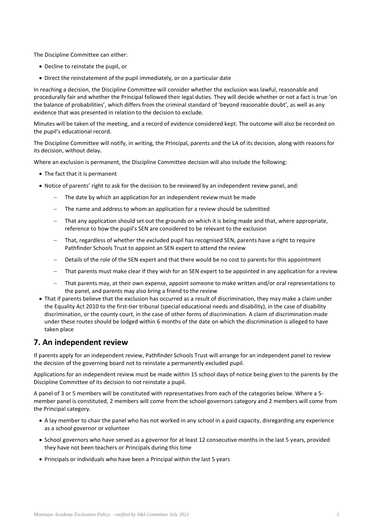The Discipline Committee can either:

- Decline to reinstate the pupil, or
- Direct the reinstatement of the pupil immediately, or on a particular date

In reaching a decision, the Discipline Committee will consider whether the exclusion was lawful, reasonable and procedurally fair and whether the Principal followed their legal duties. They will decide whether or not a fact is true 'on the balance of probabilities', which differs from the criminal standard of 'beyond reasonable doubt', as well as any evidence that was presented in relation to the decision to exclude.

Minutes will be taken of the meeting, and a record of evidence considered kept. The outcome will also be recorded on the pupil's educational record.

The Discipline Committee will notify, in writing, the Principal, parents and the LA of its decision, along with reasons for its decision, without delay.

Where an exclusion is permanent, the Discipline Committee decision will also include the following:

- The fact that it is permanent
- Notice of parents' right to ask for the decision to be reviewed by an independent review panel, and:
	- The date by which an application for an independent review must be made
	- The name and address to whom an application for a review should be submitted
	- That any application should set out the grounds on which it is being made and that, where appropriate, reference to how the pupil's SEN are considered to be relevant to the exclusion
	- That, regardless of whether the excluded pupil has recognised SEN, parents have a right to require Pathfinder Schools Trust to appoint an SEN expert to attend the review
	- Details of the role of the SEN expert and that there would be no cost to parents for this appointment
	- That parents must make clear if they wish for an SEN expert to be appointed in any application for a review
	- That parents may, at their own expense, appoint someone to make written and/or oral representations to the panel, and parents may also bring a friend to the review
- That if parents believe that the exclusion has occurred as a result of discrimination, they may make a claim under the Equality Act 2010 to the first-tier tribunal (special educational needs and disability), in the case of disability discrimination, or the county court, in the case of other forms of discrimination. A claim of discrimination made under these routes should be lodged within 6 months of the date on which the discrimination is alleged to have taken place

# **7. An independent review**

If parents apply for an independent review, Pathfinder Schools Trust will arrange for an independent panel to review the decision of the governing board not to reinstate a permanently excluded pupil.

Applications for an independent review must be made within 15 school days of notice being given to the parents by the Discipline Committee of its decision to not reinstate a pupil.

A panel of 3 or 5 members will be constituted with representatives from each of the categories below. Where a 5 member panel is constituted, 2 members will come from the school governors category and 2 members will come from the Principal category.

- A lay member to chair the panel who has not worked in any school in a paid capacity, disregarding any experience as a school governor or volunteer
- School governors who have served as a governor for at least 12 consecutive months in the last 5 years, provided they have not been teachers or Principals during this time
- Principals or individuals who have been a Principal within the last 5 years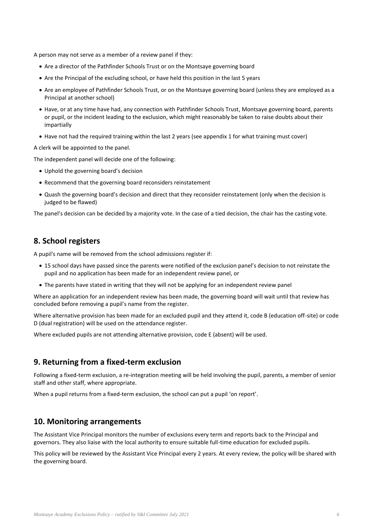A person may not serve as a member of a review panel if they:

- Are a director of the Pathfinder Schools Trust or on the Montsaye governing board
- Are the Principal of the excluding school, or have held this position in the last 5 years
- Are an employee of Pathfinder Schools Trust, or on the Montsaye governing board (unless they are employed as a Principal at another school)
- Have, or at any time have had, any connection with Pathfinder Schools Trust, Montsaye governing board, parents or pupil, or the incident leading to the exclusion, which might reasonably be taken to raise doubts about their impartially
- Have not had the required training within the last 2 years (see appendix 1 for what training must cover)

A clerk will be appointed to the panel.

The independent panel will decide one of the following:

- Uphold the governing board's decision
- Recommend that the governing board reconsiders reinstatement
- Quash the governing board's decision and direct that they reconsider reinstatement (only when the decision is judged to be flawed)

The panel's decision can be decided by a majority vote. In the case of a tied decision, the chair has the casting vote.

# **8. School registers**

A pupil's name will be removed from the school admissions register if:

- 15 school days have passed since the parents were notified of the exclusion panel's decision to not reinstate the pupil and no application has been made for an independent review panel, or
- The parents have stated in writing that they will not be applying for an independent review panel

Where an application for an independent review has been made, the governing board will wait until that review has concluded before removing a pupil's name from the register.

Where alternative provision has been made for an excluded pupil and they attend it, code B (education off-site) or code D (dual registration) will be used on the attendance register.

Where excluded pupils are not attending alternative provision, code E (absent) will be used.

## **9. Returning from a fixed-term exclusion**

Following a fixed-term exclusion, a re-integration meeting will be held involving the pupil, parents, a member of senior staff and other staff, where appropriate.

When a pupil returns from a fixed-term exclusion, the school can put a pupil 'on report'.

## **10. Monitoring arrangements**

The Assistant Vice Principal monitors the number of exclusions every term and reports back to the Principal and governors. They also liaise with the local authority to ensure suitable full-time education for excluded pupils.

This policy will be reviewed by the Assistant Vice Principal every 2 years. At every review, the policy will be shared with the governing board.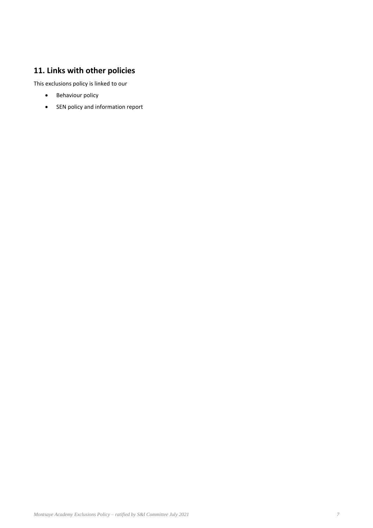# **11. Links with other policies**

This exclusions policy is linked to our

- Behaviour policy
- SEN policy and information report